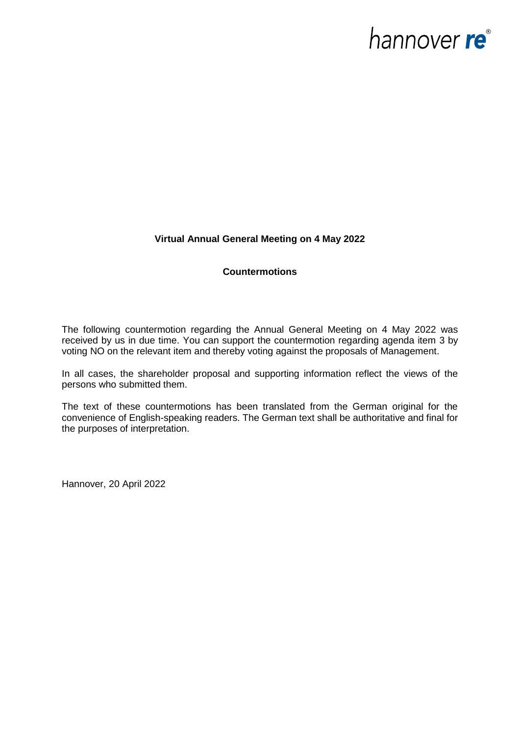# hannover re<sup>®</sup>

## **Virtual Annual General Meeting on 4 May 2022**

## **Countermotions**

The following countermotion regarding the Annual General Meeting on 4 May 2022 was received by us in due time. You can support the countermotion regarding agenda item 3 by voting NO on the relevant item and thereby voting against the proposals of Management.

In all cases, the shareholder proposal and supporting information reflect the views of the persons who submitted them.

The text of these countermotions has been translated from the German original for the convenience of English-speaking readers. The German text shall be authoritative and final for the purposes of interpretation.

Hannover, 20 April 2022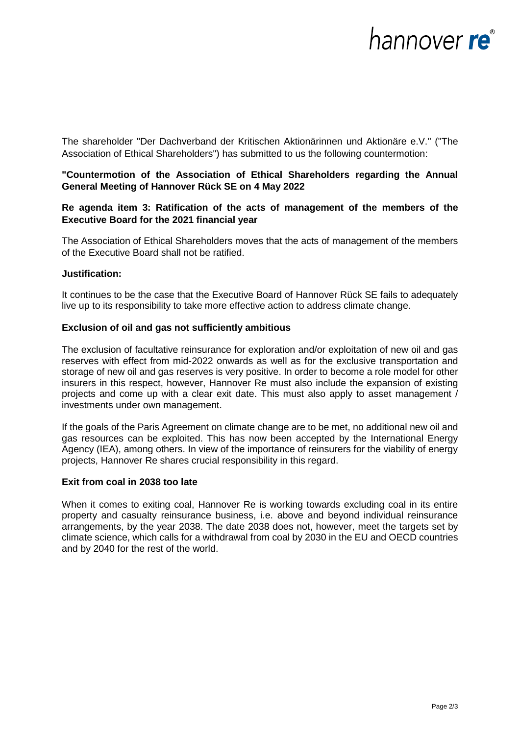# hannover re®

The shareholder "Der Dachverband der Kritischen Aktionärinnen und Aktionäre e.V." ("The Association of Ethical Shareholders") has submitted to us the following countermotion:

## **"Countermotion of the Association of Ethical Shareholders regarding the Annual General Meeting of Hannover Rück SE on 4 May 2022**

# **Re agenda item 3: Ratification of the acts of management of the members of the Executive Board for the 2021 financial year**

The Association of Ethical Shareholders moves that the acts of management of the members of the Executive Board shall not be ratified.

## **Justification:**

It continues to be the case that the Executive Board of Hannover Rück SE fails to adequately live up to its responsibility to take more effective action to address climate change.

## **Exclusion of oil and gas not sufficiently ambitious**

The exclusion of facultative reinsurance for exploration and/or exploitation of new oil and gas reserves with effect from mid-2022 onwards as well as for the exclusive transportation and storage of new oil and gas reserves is very positive. In order to become a role model for other insurers in this respect, however, Hannover Re must also include the expansion of existing projects and come up with a clear exit date. This must also apply to asset management / investments under own management.

If the goals of the Paris Agreement on climate change are to be met, no additional new oil and gas resources can be exploited. This has now been accepted by the International Energy Agency (IEA), among others. In view of the importance of reinsurers for the viability of energy projects, Hannover Re shares crucial responsibility in this regard.

#### **Exit from coal in 2038 too late**

When it comes to exiting coal, Hannover Re is working towards excluding coal in its entire property and casualty reinsurance business, i.e. above and beyond individual reinsurance arrangements, by the year 2038. The date 2038 does not, however, meet the targets set by climate science, which calls for a withdrawal from coal by 2030 in the EU and OECD countries and by 2040 for the rest of the world.